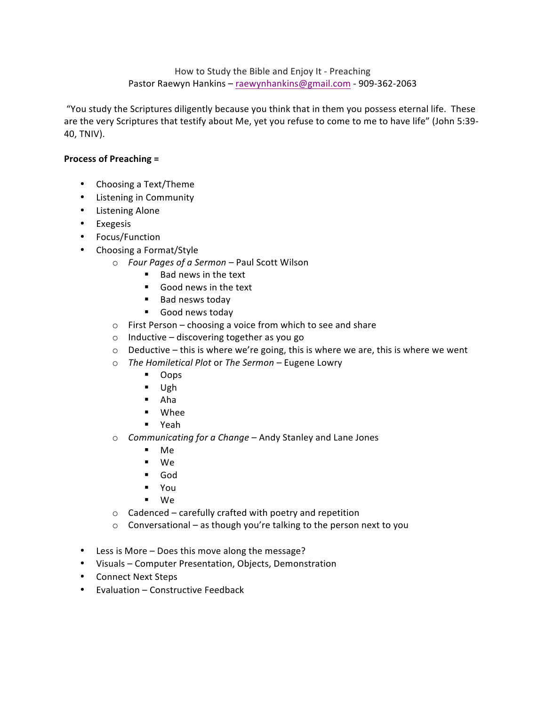How to Study the Bible and Enjoy It - Preaching Pastor Raewyn Hankins - raewynhankins@gmail.com - 909-362-2063

"You study the Scriptures diligently because you think that in them you possess eternal life. These are the very Scriptures that testify about Me, yet you refuse to come to me to have life" (John 5:39-40, TNIV).

# **Process of Preaching =**

- Choosing a Text/Theme
- Listening in Community
- Listening Alone
- Exegesis
- Focus/Function
- Choosing a Format/Style
	- o *Four Pages of a Sermon* Paul Scott Wilson
		- Bad news in the text
		- Good news in the text
		- Bad nesws today
		- **E** Good news today
	- $\circ$  First Person choosing a voice from which to see and share
	- $\circ$  Inductive discovering together as you go
	- $\circ$  Deductive this is where we're going, this is where we are, this is where we went
	- o *The Homiletical Plot or The Sermon* Eugene Lowry
		- ! Oops
		- ! Ugh
		- ! Aha
		- ! Whee
		- ! Yeah
	- o *Communicating for a Change* Andy Stanley and Lane Jones
		- ! Me
		- ! We
		- ! God
		- ! You
		- ! We
	- $\circ$  Cadenced carefully crafted with poetry and repetition
	- $\circ$  Conversational as though you're talking to the person next to you
- Less is More Does this move along the message?
- Visuals Computer Presentation, Objects, Demonstration
- Connect Next Steps
- Evaluation Constructive Feedback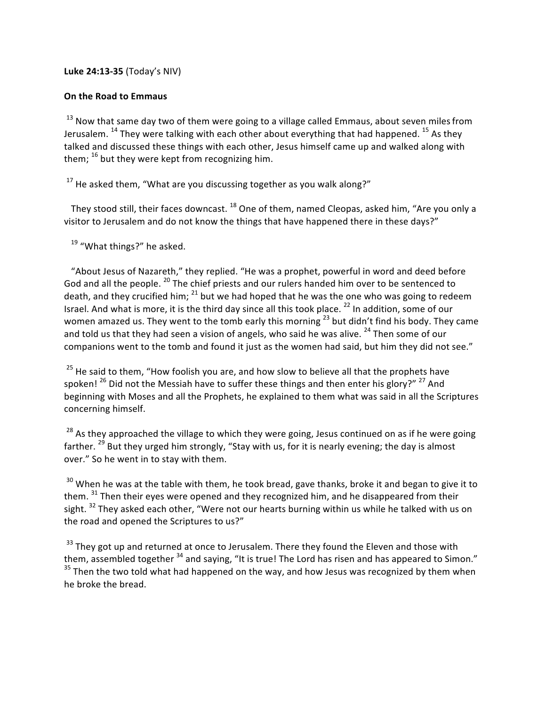# **Luke 24:13-35** (Today's NIV)

# **On the Road to Emmaus**

 $13$  Now that same day two of them were going to a village called Emmaus, about seven miles from Jerusalem.  $^{14}$  They were talking with each other about everything that had happened.  $^{15}$  As they talked and discussed these things with each other, Jesus himself came up and walked along with them;  $^{16}$  but they were kept from recognizing him.

 $17$  He asked them, "What are you discussing together as you walk along?"

They stood still, their faces downcast.  $^{18}$  One of them, named Cleopas, asked him, "Are you only a visitor to Jerusalem and do not know the things that have happened there in these days?"

 $19$  "What things?" he asked.

"About Jesus of Nazareth," they replied. "He was a prophet, powerful in word and deed before God and all the people. <sup>20</sup> The chief priests and our rulers handed him over to be sentenced to death, and they crucified him;  $^{21}$  but we had hoped that he was the one who was going to redeem Israel. And what is more, it is the third day since all this took place.<sup>22</sup> In addition, some of our women amazed us. They went to the tomb early this morning  $^{23}$  but didn't find his body. They came and told us that they had seen a vision of angels, who said he was alive.  $^{24}$  Then some of our companions went to the tomb and found it just as the women had said, but him they did not see."

 $25$  He said to them, "How foolish you are, and how slow to believe all that the prophets have spoken!  $^{26}$  Did not the Messiah have to suffer these things and then enter his glory?"  $^{27}$  And beginning with Moses and all the Prophets, he explained to them what was said in all the Scriptures concerning himself.

 $28$  As they approached the village to which they were going, Jesus continued on as if he were going farther.<sup>29</sup> But they urged him strongly, "Stay with us, for it is nearly evening; the day is almost over." So he went in to stay with them.

 $30$  When he was at the table with them, he took bread, gave thanks, broke it and began to give it to them.  $31$  Then their eyes were opened and they recognized him, and he disappeared from their sight.  $32$  They asked each other, "Were not our hearts burning within us while he talked with us on the road and opened the Scriptures to us?"

 $33$  They got up and returned at once to Jerusalem. There they found the Eleven and those with them, assembled together  $34$  and saying, "It is true! The Lord has risen and has appeared to Simon."  $35$  Then the two told what had happened on the way, and how Jesus was recognized by them when he broke the bread.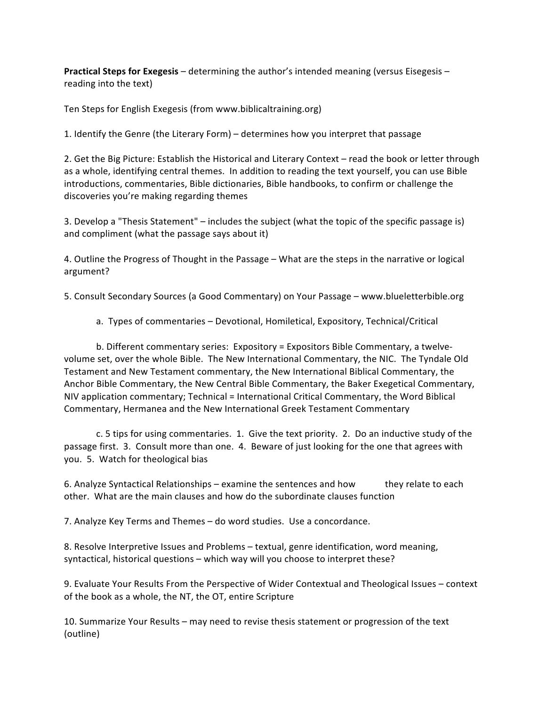**Practical Steps for Exegesis** – determining the author's intended meaning (versus Eisegesis – reading into the text)

Ten Steps for English Exegesis (from www.biblicaltraining.org)

1. Identify the Genre (the Literary Form) – determines how you interpret that passage

2. Get the Big Picture: Establish the Historical and Literary Context - read the book or letter through as a whole, identifying central themes. In addition to reading the text yourself, you can use Bible introductions, commentaries, Bible dictionaries, Bible handbooks, to confirm or challenge the discoveries you're making regarding themes

3. Develop a "Thesis Statement" – includes the subject (what the topic of the specific passage is) and compliment (what the passage says about it)

4. Outline the Progress of Thought in the Passage – What are the steps in the narrative or logical argument?

5. Consult Secondary Sources (a Good Commentary) on Your Passage – www.blueletterbible.org

a. Types of commentaries – Devotional, Homiletical, Expository, Technical/Critical

b. Different commentary series: Expository = Expositors Bible Commentary, a twelvevolume set, over the whole Bible. The New International Commentary, the NIC. The Tyndale Old Testament and New Testament commentary, the New International Biblical Commentary, the Anchor Bible Commentary, the New Central Bible Commentary, the Baker Exegetical Commentary, NIV application commentary; Technical = International Critical Commentary, the Word Biblical Commentary, Hermanea and the New International Greek Testament Commentary

c. 5 tips for using commentaries. 1. Give the text priority. 2. Do an inductive study of the passage first. 3. Consult more than one. 4. Beware of just looking for the one that agrees with you. 5. Watch for theological bias

6. Analyze Syntactical Relationships – examine the sentences and how they relate to each other. What are the main clauses and how do the subordinate clauses function

7. Analyze Key Terms and Themes – do word studies. Use a concordance.

8. Resolve Interpretive Issues and Problems – textual, genre identification, word meaning, syntactical, historical questions – which way will you choose to interpret these?

9. Evaluate Your Results From the Perspective of Wider Contextual and Theological Issues – context of the book as a whole, the NT, the OT, entire Scripture

10. Summarize Your Results – may need to revise thesis statement or progression of the text (outline)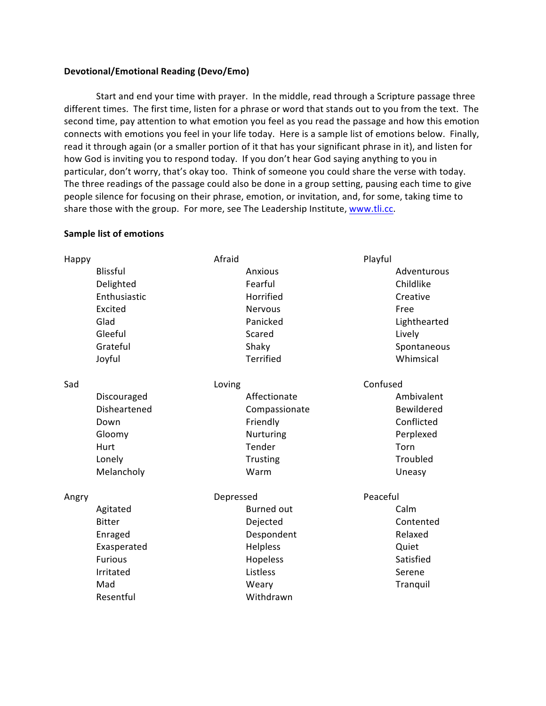# **Devotional/Emotional Reading (Devo/Emo)**

Start and end your time with prayer. In the middle, read through a Scripture passage three different times. The first time, listen for a phrase or word that stands out to you from the text. The second time, pay attention to what emotion you feel as you read the passage and how this emotion connects with emotions you feel in your life today. Here is a sample list of emotions below. Finally, read it through again (or a smaller portion of it that has your significant phrase in it), and listen for how God is inviting you to respond today. If you don't hear God saying anything to you in particular, don't worry, that's okay too. Think of someone you could share the verse with today. The three readings of the passage could also be done in a group setting, pausing each time to give people silence for focusing on their phrase, emotion, or invitation, and, for some, taking time to share those with the group. For more, see The Leadership Institute, www.tli.cc.

### **Sample list of emotions**

| Happy |                 | Afraid |                   | Playful  |              |  |
|-------|-----------------|--------|-------------------|----------|--------------|--|
|       | <b>Blissful</b> |        | Anxious           |          | Adventurous  |  |
|       | Delighted       |        | Fearful           |          | Childlike    |  |
|       | Enthusiastic    |        | Horrified         |          | Creative     |  |
|       | Excited         |        | <b>Nervous</b>    |          | Free         |  |
|       | Glad            |        | Panicked          |          | Lighthearted |  |
|       | Gleeful         |        | Scared            |          | Lively       |  |
|       | Grateful        |        | Shaky             |          | Spontaneous  |  |
|       | Joyful          |        | <b>Terrified</b>  |          | Whimsical    |  |
| Sad   |                 | Loving |                   | Confused |              |  |
|       | Discouraged     |        | Affectionate      |          | Ambivalent   |  |
|       | Disheartened    |        | Compassionate     |          | Bewildered   |  |
|       | Down            |        | Friendly          |          | Conflicted   |  |
|       | Gloomy          |        | Nurturing         |          | Perplexed    |  |
|       | Hurt            |        | Tender            |          | Torn         |  |
|       | Lonely          |        | Trusting          |          | Troubled     |  |
|       | Melancholy      |        | Warm              |          | Uneasy       |  |
| Angry |                 |        | Depressed         |          | Peaceful     |  |
|       | Agitated        |        | <b>Burned out</b> |          | Calm         |  |
|       | <b>Bitter</b>   |        | Dejected          |          | Contented    |  |
|       | Enraged         |        | Despondent        |          | Relaxed      |  |
|       | Exasperated     |        | Helpless          |          | Quiet        |  |
|       | <b>Furious</b>  |        | Hopeless          |          | Satisfied    |  |
|       | Irritated       |        | Listless          |          | Serene       |  |
|       | Mad             |        | Weary             |          | Tranquil     |  |
|       | Resentful       |        | Withdrawn         |          |              |  |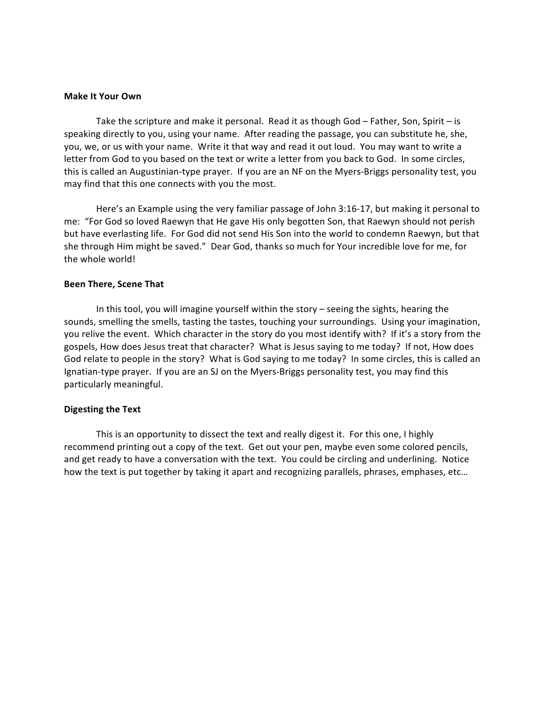#### **Make It Your Own**

Take the scripture and make it personal. Read it as though  $God$  – Father, Son, Spirit – is speaking directly to you, using your name. After reading the passage, you can substitute he, she, you, we, or us with your name. Write it that way and read it out loud. You may want to write a letter from God to you based on the text or write a letter from you back to God. In some circles, this is called an Augustinian-type prayer. If you are an NF on the Myers-Briggs personality test, you may find that this one connects with you the most.

Here's an Example using the very familiar passage of John 3:16-17, but making it personal to me: "For God so loved Raewyn that He gave His only begotten Son, that Raewyn should not perish but have everlasting life. For God did not send His Son into the world to condemn Raewyn, but that she through Him might be saved." Dear God, thanks so much for Your incredible love for me, for the whole world!

#### **Been There, Scene That**

In this tool, you will imagine yourself within the story - seeing the sights, hearing the sounds, smelling the smells, tasting the tastes, touching your surroundings. Using your imagination, you relive the event. Which character in the story do you most identify with? If it's a story from the gospels, How does Jesus treat that character? What is Jesus saying to me today? If not, How does God relate to people in the story? What is God saying to me today? In some circles, this is called an Ignatian-type prayer. If you are an SJ on the Myers-Briggs personality test, you may find this particularly meaningful.

#### **Digesting the Text**

This is an opportunity to dissect the text and really digest it. For this one, I highly recommend printing out a copy of the text. Get out your pen, maybe even some colored pencils, and get ready to have a conversation with the text. You could be circling and underlining. Notice how the text is put together by taking it apart and recognizing parallels, phrases, emphases, etc...